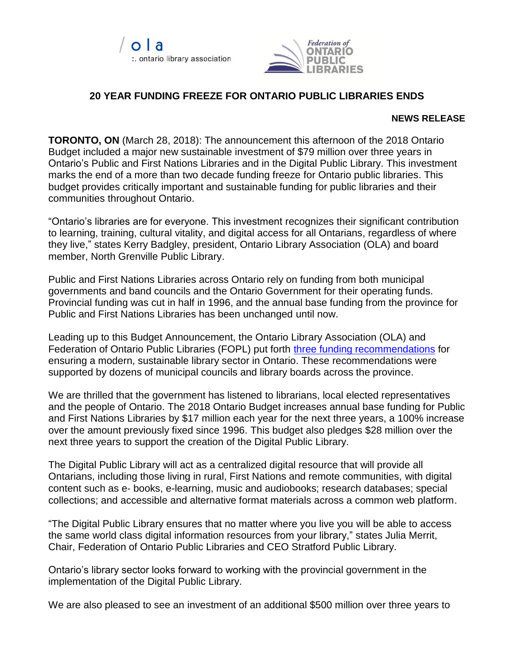



## **20 YEAR FUNDING FREEZE FOR ONTARIO PUBLIC LIBRARIES ENDS**

## **NEWS RELEASE**

**TORONTO, ON** (March 28, 2018): The announcement this afternoon of the 2018 Ontario Budget included a major new sustainable investment of \$79 million over three years in Ontario's Public and First Nations Libraries and in the Digital Public Library. This investment marks the end of a more than two decade funding freeze for Ontario public libraries. This budget provides critically important and sustainable funding for public libraries and their communities throughout Ontario.

"Ontario's libraries are for everyone. This investment recognizes their significant contribution to learning, training, cultural vitality, and digital access for all Ontarians, regardless of where they live," states Kerry Badgley, president, Ontario Library Association (OLA) and board member, North Grenville Public Library.

Public and First Nations Libraries across Ontario rely on funding from both municipal governments and band councils and the Ontario Government for their operating funds. Provincial funding was cut in half in 1996, and the annual base funding from the province for Public and First Nations Libraries has been unchanged until now.

Leading up to this Budget Announcement, the Ontario Library Association (OLA) and Federation of Ontario Public Libraries (FOPL) put forth [three funding recommendations](http://www.accessola.org/WEB/Documents/OLA%20FOPL%20pre-budget%20submission%202018.pdf) for ensuring a modern, sustainable library sector in Ontario. These recommendations were supported by dozens of municipal councils and library boards across the province.

We are thrilled that the government has listened to librarians, local elected representatives and the people of Ontario. The 2018 Ontario Budget increases annual base funding for Public and First Nations Libraries by \$17 million each year for the next three years, a 100% increase over the amount previously fixed since 1996. This budget also pledges \$28 million over the next three years to support the creation of the Digital Public Library.

The Digital Public Library will act as a centralized digital resource that will provide all Ontarians, including those living in rural, First Nations and remote communities, with digital content such as e‐ books, e-learning, music and audiobooks; research databases; special collections; and accessible and alternative format materials across a common web platform.

"The Digital Public Library ensures that no matter where you live you will be able to access the same world class digital information resources from your library," states Julia Merrit, Chair, Federation of Ontario Public Libraries and CEO Stratford Public Library.

Ontario's library sector looks forward to working with the provincial government in the implementation of the Digital Public Library.

We are also pleased to see an investment of an additional \$500 million over three years to